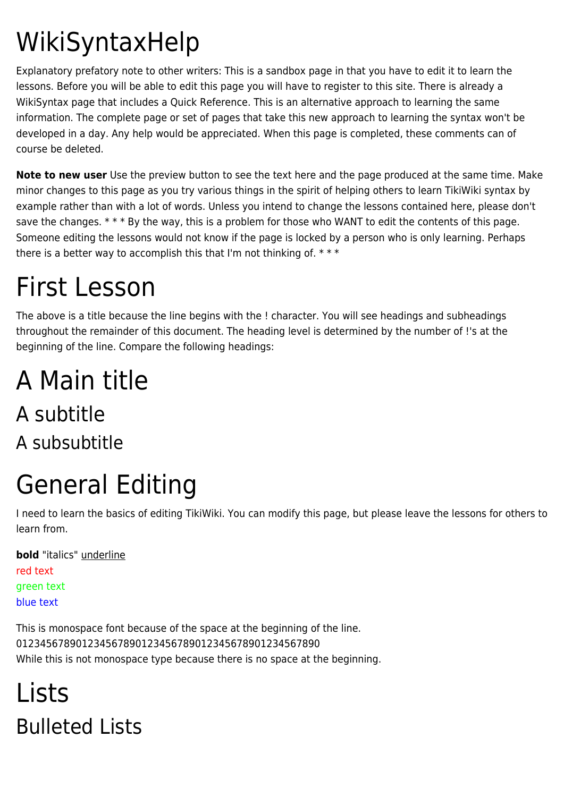# WikiSyntaxHelp

Explanatory prefatory note to other writers: This is a sandbox page in that you have to edit it to learn the lessons. Before you will be able to edit this page you will have to register to this site. There is already a WikiSyntax page that includes a Quick Reference. This is an alternative approach to learning the same information. The complete page or set of pages that take this new approach to learning the syntax won't be developed in a day. Any help would be appreciated. When this page is completed, these comments can of course be deleted.

**Note to new user** Use the preview button to see the text here and the page produced at the same time. Make minor changes to this page as you try various things in the spirit of helping others to learn TikiWiki syntax by example rather than with a lot of words. Unless you intend to change the lessons contained here, please don't save the changes. \*\*\* By the way, this is a problem for those who WANT to edit the contents of this page. Someone editing the lessons would not know if the page is locked by a person who is only learning. Perhaps there is a better way to accomplish this that I'm not thinking of. \* \* \*

# First Lesson

The above is a title because the line begins with the ! character. You will see headings and subheadings throughout the remainder of this document. The heading level is determined by the number of !'s at the beginning of the line. Compare the following headings:

### A Main title A subtitle A subsubtitle

# General Editing

I need to learn the basics of editing TikiWiki. You can modify this page, but please leave the lessons for others to learn from.

**bold** "italics" underline red text green text blue text

This is monospace font because of the space at the beginning of the line. 012345678901234567890123456789012345678901234567890 While this is not monospace type because there is no space at the beginning.

## Lists Bulleted Lists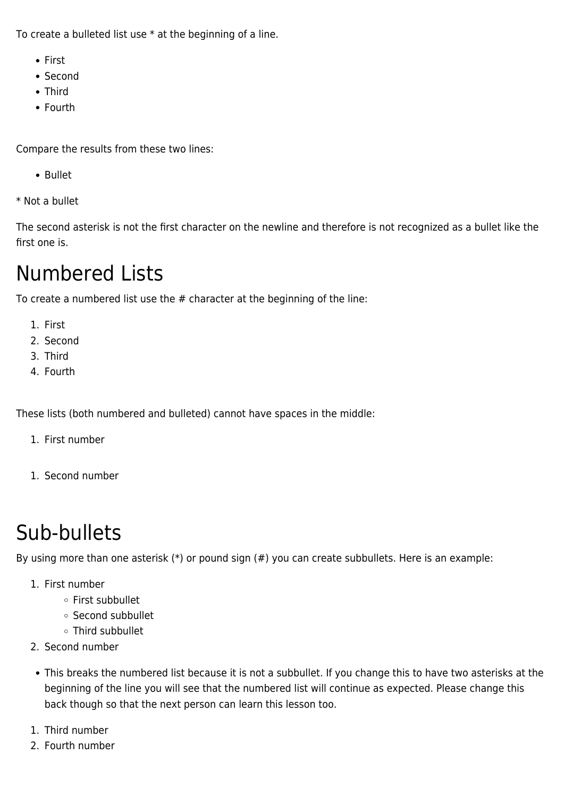To create a bulleted list use \* at the beginning of a line.

- First
- Second
- Third
- Fourth

Compare the results from these two lines:

- Bullet
- \* Not a bullet

The second asterisk is not the first character on the newline and therefore is not recognized as a bullet like the first one is.

#### Numbered Lists

To create a numbered list use the # character at the beginning of the line:

- 1. First
- 2. Second
- 3. Third
- 4. Fourth

These lists (both numbered and bulleted) cannot have spaces in the middle:

- 1. First number
- 1. Second number

### Sub-bullets

By using more than one asterisk (\*) or pound sign (#) you can create subbullets. Here is an example:

- 1. First number
	- First subbullet
	- o Second subbullet
	- Third subbullet
- 2. Second number
- This breaks the numbered list because it is not a subbullet. If you change this to have two asterisks at the beginning of the line you will see that the numbered list will continue as expected. Please change this back though so that the next person can learn this lesson too.
- 1. Third number
- 2. Fourth number